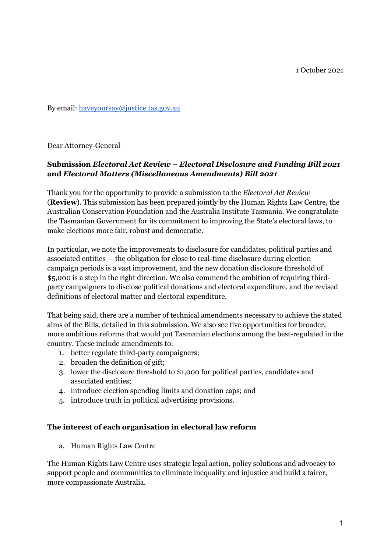1 October 2021

By email: [haveyoursay@justice.tas.gov.au](mailto:haveyoursay@justice.tas.gov.au)

Dear Attorney-General

## **Submission** *Electoral Act Review – Electoral Disclosure and Funding Bill 2021* **and** *Electoral Matters (Miscellaneous Amendments) Bill 2021*

Thank you for the opportunity to provide a submission to the *Electoral Act Review* (**Review**). This submission has been prepared jointly by the Human Rights Law Centre, the Australian Conservation Foundation and the Australia Institute Tasmania. We congratulate the Tasmanian Government for its commitment to improving the State's electoral laws, to make elections more fair, robust and democratic.

In particular, we note the improvements to disclosure for candidates, political parties and associated entities — the obligation for close to real-time disclosure during election campaign periods is a vast improvement, and the new donation disclosure threshold of \$5,000 is a step in the right direction. We also commend the ambition of requiring thirdparty campaigners to disclose political donations and electoral expenditure, and the revised definitions of electoral matter and electoral expenditure.

That being said, there are a number of technical amendments necessary to achieve the stated aims of the Bills, detailed in this submission. We also see five opportunities for broader, more ambitious reforms that would put Tasmanian elections among the best-regulated in the country. These include amendments to:

- 1. better regulate third-party campaigners;
- 2. broaden the definition of gift;
- 3. lower the disclosure threshold to \$1,000 for political parties, candidates and associated entities;
- 4. introduce election spending limits and donation caps; and
- 5. introduce truth in political advertising provisions.

#### **The interest of each organisation in electoral law reform**

a. Human Rights Law Centre

The Human Rights Law Centre uses strategic legal action, policy solutions and advocacy to support people and communities to eliminate inequality and injustice and build a fairer, more compassionate Australia.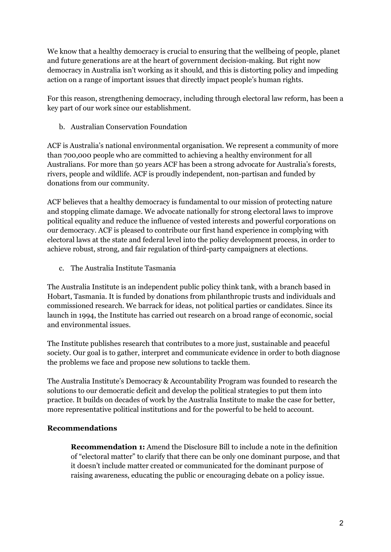We know that a healthy democracy is crucial to ensuring that the wellbeing of people, planet and future generations are at the heart of government decision-making. But right now democracy in Australia isn't working as it should, and this is distorting policy and impeding action on a range of important issues that directly impact people's human rights.

For this reason, strengthening democracy, including through electoral law reform, has been a key part of our work since our establishment.

b. Australian Conservation Foundation

ACF is Australia's national environmental organisation. We represent a community of more than 700,000 people who are committed to achieving a healthy environment for all Australians. For more than 50 years ACF has been a strong advocate for Australia's forests, rivers, people and wildlife. ACF is proudly independent, non-partisan and funded by donations from our community.

ACF believes that a healthy democracy is fundamental to our mission of protecting nature and stopping climate damage. We advocate nationally for strong electoral laws to improve political equality and reduce the influence of vested interests and powerful corporations on our democracy. ACF is pleased to contribute our first hand experience in complying with electoral laws at the state and federal level into the policy development process, in order to achieve robust, strong, and fair regulation of third-party campaigners at elections.

c. The Australia Institute Tasmania

The Australia Institute is an independent public policy think tank, with a branch based in Hobart, Tasmania. It is funded by donations from philanthropic trusts and individuals and commissioned research. We barrack for ideas, not political parties or candidates. Since its launch in 1994, the Institute has carried out research on a broad range of economic, social and environmental issues.

The Institute publishes research that contributes to a more just, sustainable and peaceful society. Our goal is to gather, interpret and communicate evidence in order to both diagnose the problems we face and propose new solutions to tackle them.

The Australia Institute's Democracy & Accountability Program was founded to research the solutions to our democratic deficit and develop the political strategies to put them into practice. It builds on decades of work by the Australia Institute to make the case for better, more representative political institutions and for the powerful to be held to account.

#### **Recommendations**

**Recommendation 1:** Amend the Disclosure Bill to include a note in the definition of "electoral matter" to clarify that there can be only one dominant purpose, and that it doesn't include matter created or communicated for the dominant purpose of raising awareness, educating the public or encouraging debate on a policy issue.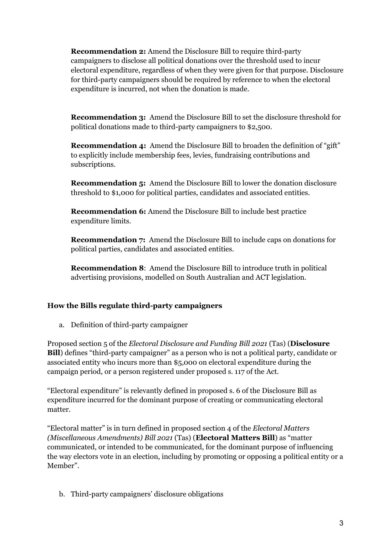**Recommendation 2:** Amend the Disclosure Bill to require third-party campaigners to disclose all political donations over the threshold used to incur electoral expenditure, regardless of when they were given for that purpose. Disclosure for third-party campaigners should be required by reference to when the electoral expenditure is incurred, not when the donation is made.

**Recommendation 3:** Amend the Disclosure Bill to set the disclosure threshold for political donations made to third-party campaigners to \$2,500.

**Recommendation 4:** Amend the Disclosure Bill to broaden the definition of "gift" to explicitly include membership fees, levies, fundraising contributions and subscriptions.

**Recommendation 5:** Amend the Disclosure Bill to lower the donation disclosure threshold to \$1,000 for political parties, candidates and associated entities.

**Recommendation 6:** Amend the Disclosure Bill to include best practice expenditure limits.

**Recommendation 7:** Amend the Disclosure Bill to include caps on donations for political parties, candidates and associated entities.

**Recommendation 8**: Amend the Disclosure Bill to introduce truth in political advertising provisions, modelled on South Australian and ACT legislation.

#### **How the Bills regulate third-party campaigners**

a. Definition of third-party campaigner

Proposed section 5 of the *Electoral Disclosure and Funding Bill 2021* (Tas) (**Disclosure Bill**) defines "third-party campaigner" as a person who is not a political party, candidate or associated entity who incurs more than \$5,000 on electoral expenditure during the campaign period, or a person registered under proposed s. 117 of the Act.

"Electoral expenditure" is relevantly defined in proposed s. 6 of the Disclosure Bill as expenditure incurred for the dominant purpose of creating or communicating electoral matter.

"Electoral matter" is in turn defined in proposed section 4 of the *Electoral Matters (Miscellaneous Amendments) Bill 2021* (Tas) (**Electoral Matters Bill**) as "matter communicated, or intended to be communicated, for the dominant purpose of influencing the way electors vote in an election, including by promoting or opposing a political entity or a Member".

b. Third-party campaigners' disclosure obligations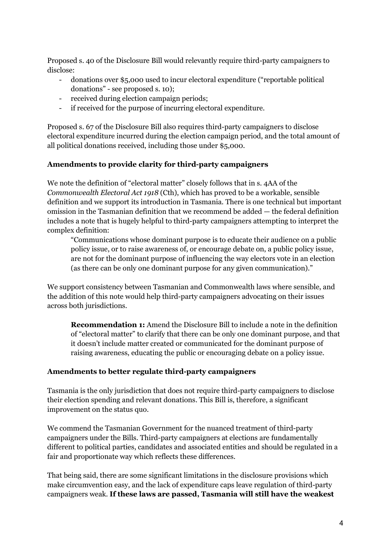Proposed s. 40 of the Disclosure Bill would relevantly require third-party campaigners to disclose:

- donations over \$5,000 used to incur electoral expenditure ("reportable political donations" - see proposed s. 10);
- received during election campaign periods;
- if received for the purpose of incurring electoral expenditure.

Proposed s. 67 of the Disclosure Bill also requires third-party campaigners to disclose electoral expenditure incurred during the election campaign period, and the total amount of all political donations received, including those under \$5,000.

#### **Amendments to provide clarity for third-party campaigners**

We note the definition of "electoral matter" closely follows that in s. 4AA of the *Commonwealth Electoral Act 1918* (Cth), which has proved to be a workable, sensible definition and we support its introduction in Tasmania. There is one technical but important omission in the Tasmanian definition that we recommend be added — the federal definition includes a note that is hugely helpful to third-party campaigners attempting to interpret the complex definition:

"Communications whose dominant purpose is to educate their audience on a public policy issue, or to raise awareness of, or encourage debate on, a public policy issue, are not for the dominant purpose of influencing the way electors vote in an election (as there can be only one dominant purpose for any given communication)."

We support consistency between Tasmanian and Commonwealth laws where sensible, and the addition of this note would help third-party campaigners advocating on their issues across both jurisdictions.

**Recommendation 1:** Amend the Disclosure Bill to include a note in the definition of "electoral matter" to clarify that there can be only one dominant purpose, and that it doesn't include matter created or communicated for the dominant purpose of raising awareness, educating the public or encouraging debate on a policy issue.

#### **Amendments to better regulate third-party campaigners**

Tasmania is the only jurisdiction that does not require third-party campaigners to disclose their election spending and relevant donations. This Bill is, therefore, a significant improvement on the status quo.

We commend the Tasmanian Government for the nuanced treatment of third-party campaigners under the Bills. Third-party campaigners at elections are fundamentally different to political parties, candidates and associated entities and should be regulated in a fair and proportionate way which reflects these differences.

That being said, there are some significant limitations in the disclosure provisions which make circumvention easy, and the lack of expenditure caps leave regulation of third-party campaigners weak. **If these laws are passed, Tasmania will still have the weakest**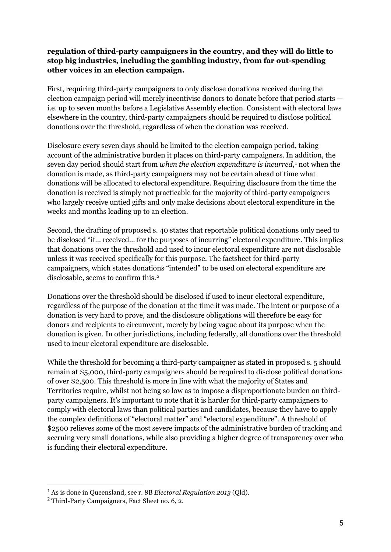#### **regulation of third-party campaigners in the country, and they will do little to stop big industries, including the gambling industry, from far out-spending other voices in an election campaign.**

First, requiring third-party campaigners to only disclose donations received during the election campaign period will merely incentivise donors to donate before that period starts i.e. up to seven months before a Legislative Assembly election. Consistent with electoral laws elsewhere in the country, third-party campaigners should be required to disclose political donations over the threshold, regardless of when the donation was received.

Disclosure every seven days should be limited to the election campaign period, taking account of the administrative burden it places on third-party campaigners. In addition, the seven day period should start from *when the election expenditure is incurred*,[1](#page-4-0) not when the donation is made, as third-party campaigners may not be certain ahead of time what donations will be allocated to electoral expenditure. Requiring disclosure from the time the donation is received is simply not practicable for the majority of third-party campaigners who largely receive untied gifts and only make decisions about electoral expenditure in the weeks and months leading up to an election.

Second, the drafting of proposed s. 40 states that reportable political donations only need to be disclosed "if… received… for the purposes of incurring" electoral expenditure. This implies that donations over the threshold and used to incur electoral expenditure are not disclosable unless it was received specifically for this purpose. The factsheet for third-party campaigners, which states donations "intended" to be used on electoral expenditure are disclosable, seems to confirm this.[2](#page-4-1)

Donations over the threshold should be disclosed if used to incur electoral expenditure, regardless of the purpose of the donation at the time it was made. The intent or purpose of a donation is very hard to prove, and the disclosure obligations will therefore be easy for donors and recipients to circumvent, merely by being vague about its purpose when the donation is given. In other jurisdictions, including federally, all donations over the threshold used to incur electoral expenditure are disclosable.

While the threshold for becoming a third-party campaigner as stated in proposed s. 5 should remain at \$5,000, third-party campaigners should be required to disclose political donations of over \$2,500. This threshold is more in line with what the majority of States and Territories require, whilst not being so low as to impose a disproportionate burden on thirdparty campaigners. It's important to note that it is harder for third-party campaigners to comply with electoral laws than political parties and candidates, because they have to apply the complex definitions of "electoral matter" and "electoral expenditure". A threshold of \$2500 relieves some of the most severe impacts of the administrative burden of tracking and accruing very small donations, while also providing a higher degree of transparency over who is funding their electoral expenditure.

<span id="page-4-0"></span><sup>1</sup> As is done in Queensland, see r. 8B *Electoral Regulation 2013* (Qld).

<span id="page-4-1"></span><sup>2</sup> Third-Party Campaigners, Fact Sheet no. 6, 2.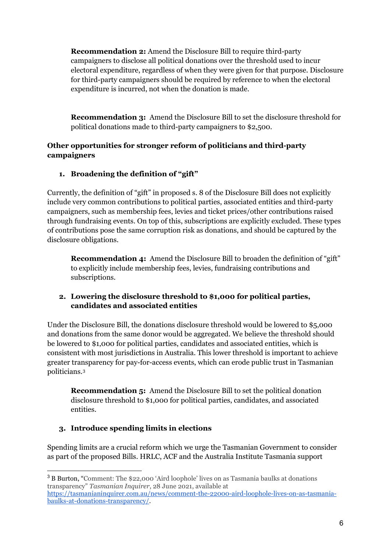**Recommendation 2:** Amend the Disclosure Bill to require third-party campaigners to disclose all political donations over the threshold used to incur electoral expenditure, regardless of when they were given for that purpose. Disclosure for third-party campaigners should be required by reference to when the electoral expenditure is incurred, not when the donation is made.

**Recommendation 3:** Amend the Disclosure Bill to set the disclosure threshold for political donations made to third-party campaigners to \$2,500.

## **Other opportunities for stronger reform of politicians and third-party campaigners**

# **1. Broadening the definition of "gift"**

Currently, the definition of "gift" in proposed s. 8 of the Disclosure Bill does not explicitly include very common contributions to political parties, associated entities and third-party campaigners, such as membership fees, levies and ticket prices/other contributions raised through fundraising events. On top of this, subscriptions are explicitly excluded. These types of contributions pose the same corruption risk as donations, and should be captured by the disclosure obligations.

**Recommendation 4:** Amend the Disclosure Bill to broaden the definition of "gift" to explicitly include membership fees, levies, fundraising contributions and subscriptions.

# **2. Lowering the disclosure threshold to \$1,000 for political parties, candidates and associated entities**

Under the Disclosure Bill, the donations disclosure threshold would be lowered to \$5,000 and donations from the same donor would be aggregated. We believe the threshold should be lowered to \$1,000 for political parties, candidates and associated entities, which is consistent with most jurisdictions in Australia. This lower threshold is important to achieve greater transparency for pay-for-access events, which can erode public trust in Tasmanian politicians.[3](#page-5-0)

**Recommendation 5:** Amend the Disclosure Bill to set the political donation disclosure threshold to \$1,000 for political parties, candidates, and associated entities.

# **3. Introduce spending limits in elections**

Spending limits are a crucial reform which we urge the Tasmanian Government to consider as part of the proposed Bills. HRLC, ACF and the Australia Institute Tasmania support

<span id="page-5-0"></span><sup>3</sup> B Burton, "Comment: The \$22,000 'Aird loophole' lives on as Tasmania baulks at donations transparency" *Tasmanian Inquirer*, 28 June 2021, available at

[https://tasmanianinquirer.com.au/news/comment-the-22000-aird-loophole-lives-on-as-tasmania](https://tasmanianinquirer.com.au/news/comment-the-22000-aird-loophole-lives-on-as-tasmania-baulks-at-donations-transparency/)[baulks-at-donations-transparency/.](https://tasmanianinquirer.com.au/news/comment-the-22000-aird-loophole-lives-on-as-tasmania-baulks-at-donations-transparency/)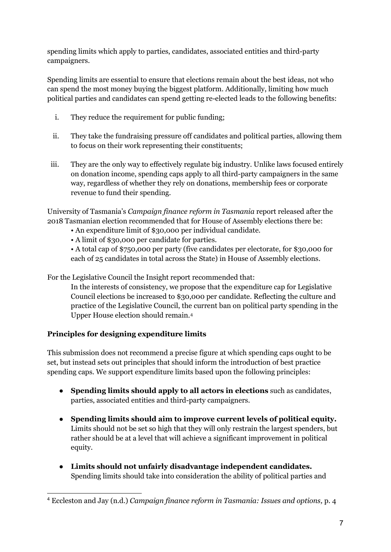spending limits which apply to parties, candidates, associated entities and third-party campaigners.

Spending limits are essential to ensure that elections remain about the best ideas, not who can spend the most money buying the biggest platform. Additionally, limiting how much political parties and candidates can spend getting re-elected leads to the following benefits:

- i. They reduce the requirement for public funding;
- ii. They take the fundraising pressure off candidates and political parties, allowing them to focus on their work representing their constituents;
- iii. They are the only way to effectively regulate big industry. Unlike laws focused entirely on donation income, spending caps apply to all third-party campaigners in the same way, regardless of whether they rely on donations, membership fees or corporate revenue to fund their spending.

University of Tasmania's *Campaign finance reform in Tasmania* report released after the 2018 Tasmanian election recommended that for House of Assembly elections there be:

- An expenditure limit of \$30,000 per individual candidate.
- A limit of \$30,000 per candidate for parties.

• A total cap of \$750,000 per party (five candidates per electorate, for \$30,000 for each of 25 candidates in total across the State) in House of Assembly elections.

For the Legislative Council the Insight report recommended that:

In the interests of consistency, we propose that the expenditure cap for Legislative Council elections be increased to \$30,000 per candidate. Reflecting the culture and practice of the Legislative Council, the current ban on political party spending in the Upper House election should remain.[4](#page-6-0)

# **Principles for designing expenditure limits**

This submission does not recommend a precise figure at which spending caps ought to be set, but instead sets out principles that should inform the introduction of best practice spending caps. We support expenditure limits based upon the following principles:

- **Spending limits should apply to all actors in elections** such as candidates, parties, associated entities and third-party campaigners.
- **Spending limits should aim to improve current levels of political equity.** Limits should not be set so high that they will only restrain the largest spenders, but rather should be at a level that will achieve a significant improvement in political equity.
- **Limits should not unfairly disadvantage independent candidates.** Spending limits should take into consideration the ability of political parties and

<span id="page-6-0"></span><sup>4</sup> Eccleston and Jay (n.d.) *Campaign finance reform in Tasmania: Issues and options,* p. 4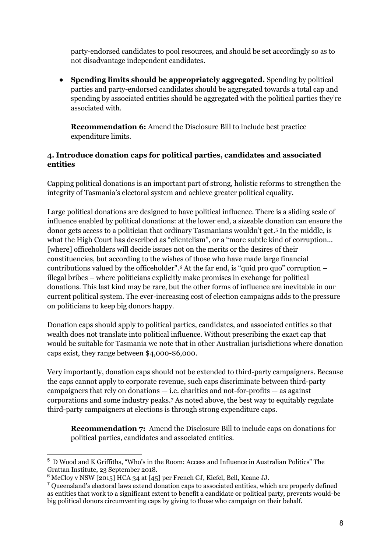party-endorsed candidates to pool resources, and should be set accordingly so as to not disadvantage independent candidates.

● **Spending limits should be appropriately aggregated.** Spending by political parties and party-endorsed candidates should be aggregated towards a total cap and spending by associated entities should be aggregated with the political parties they're associated with.

**Recommendation 6:** Amend the Disclosure Bill to include best practice expenditure limits.

## **4. Introduce donation caps for political parties, candidates and associated entities**

Capping political donations is an important part of strong, holistic reforms to strengthen the integrity of Tasmania's electoral system and achieve greater political equality.

Large political donations are designed to have political influence. There is a sliding scale of influence enabled by political donations: at the lower end, a sizeable donation can ensure the donor gets access to a politician that ordinary Tasmanians wouldn't get.[5](#page-7-0) In the middle, is what the High Court has described as "clientelism", or a "more subtle kind of corruption… [where] officeholders will decide issues not on the merits or the desires of their constituencies, but according to the wishes of those who have made large financial contributions valued by the officeholder".[6](#page-7-1) At the far end, is "quid pro quo" corruption – illegal bribes – where politicians explicitly make promises in exchange for political donations. This last kind may be rare, but the other forms of influence are inevitable in our current political system. The ever-increasing cost of election campaigns adds to the pressure on politicians to keep big donors happy.

Donation caps should apply to political parties, candidates, and associated entities so that wealth does not translate into political influence. Without prescribing the exact cap that would be suitable for Tasmania we note that in other Australian jurisdictions where donation caps exist, they range between \$4,000-\$6,000.

Very importantly, donation caps should not be extended to third-party campaigners. Because the caps cannot apply to corporate revenue, such caps discriminate between third-party campaigners that rely on donations  $-$  i.e. charities and not-for-profits  $-$  as against corporations and some industry peaks.[7](#page-7-2) As noted above, the best way to equitably regulate third-party campaigners at elections is through strong expenditure caps.

**Recommendation 7:** Amend the Disclosure Bill to include caps on donations for political parties, candidates and associated entities.

<span id="page-7-0"></span><sup>5</sup> D Wood and K Griffiths, "Who's in the Room: Access and Influence in Australian Politics" The Grattan Institute, 23 September 2018.

<span id="page-7-1"></span><sup>6</sup> McCloy v NSW [2015] HCA 34 at [45] per French CJ, Kiefel, Bell, Keane JJ.

<span id="page-7-2"></span><sup>7</sup> Queensland's electoral laws extend donation caps to associated entities, which are properly defined as entities that work to a significant extent to benefit a candidate or political party, prevents would-be big political donors circumventing caps by giving to those who campaign on their behalf.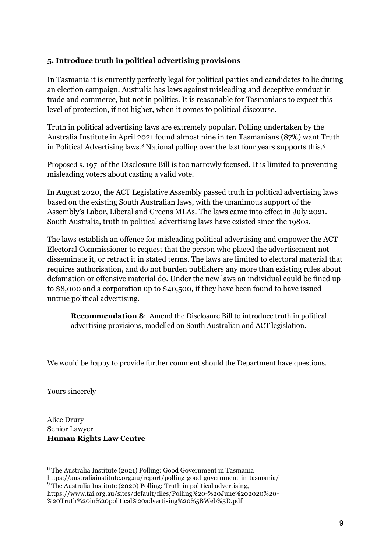## **5. Introduce truth in political advertising provisions**

In Tasmania it is currently perfectly legal for political parties and candidates to lie during an election campaign. Australia has laws against misleading and deceptive conduct in trade and commerce, but not in politics. It is reasonable for Tasmanians to expect this level of protection, if not higher, when it comes to political discourse.

Truth in political advertising laws are extremely popular. Polling undertaken by the Australia Institute in April 2021 found almost nine in ten Tasmanians (87%) want Truth in Political Advertising laws.<sup>[8](#page-8-0)</sup> National polling over the last four years supports this.<sup>[9](#page-8-1)</sup>

Proposed s. 197 of the Disclosure Bill is too narrowly focused. It is limited to preventing misleading voters about casting a valid vote.

In August 2020, the ACT Legislative Assembly passed truth in political advertising laws based on the existing South Australian laws, with the unanimous support of the Assembly's Labor, Liberal and Greens MLAs. The laws came into effect in July 2021. South Australia, truth in political advertising laws have existed since the 1980s.

The laws establish an offence for misleading political advertising and empower the ACT Electoral Commissioner to request that the person who placed the advertisement not disseminate it, or retract it in stated terms. The laws are limited to electoral material that requires authorisation, and do not burden publishers any more than existing rules about defamation or offensive material do. Under the new laws an individual could be fined up to \$8,000 and a corporation up to \$40,500, if they have been found to have issued untrue political advertising.

**Recommendation 8**: Amend the Disclosure Bill to introduce truth in political advertising provisions, modelled on South Australian and ACT legislation.

We would be happy to provide further comment should the Department have questions.

Yours sincerely

Alice Drury Senior Lawyer **Human Rights Law Centre**

<span id="page-8-0"></span><sup>8</sup> The Australia Institute (2021) Polling: Good Government in Tasmania https://australiainstitute.org.au/report/polling-good-government-in-tasmania/

<span id="page-8-1"></span><sup>&</sup>lt;sup>9</sup> The Australia Institute (2020) Polling: Truth in political advertising, https://www.tai.org.au/sites/default/files/Polling%20-%20June%202020%20- %20Truth%20in%20political%20advertising%20%5BWeb%5D.pdf